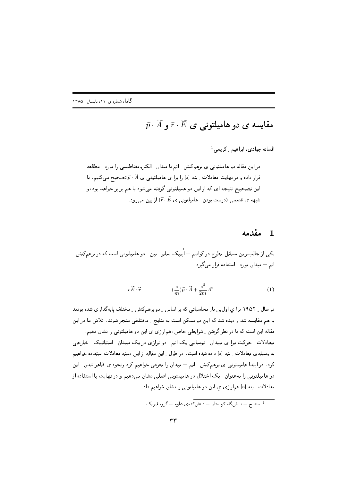$\tilde{p}\cdot\tilde{A}$  مقایسه ی دو هامیلتونی ی  $\tilde{r}\cdot\tilde{E}$  و

افسانه جوادی، ابراهیم ِ کریمی  $^1$ 

در این مقاله دو هامیلتونبی ی برهمکنش ِ اتم با میدان ِ الکترومغناطیسی را مورد ِ مطالعه قرار داده و در نهایت معادلات ِ بته [a] را برا ی هامیلتونی ی  $\widetilde{A}$  تصحیح می کنیم. با این تصحیح نتیجه ای که از این دو همپلتونی گرفته می شود با هم برابر خواهد بود، و شبهه ی قدیمی (درست بودن ِ هامیلتونی ی  $\widetilde{F}$  از بین می رود.

#### مقدمه  $\mathbf{1}$

یکی از جالبترین مسائل مطرح در کوانتم — اُیتیک تمایز ـ بین ـ دو هامیلتونی است که در برهمکنش ـ اتم – میدان مورد - استفاده قرار می گیرد:

$$
-e\widetilde{E}\cdot\widetilde{r} \qquad -\left(\frac{e}{m}\right)\widetilde{p}\cdot\widetilde{A} + \frac{e^2}{2m}A^2 \qquad (1)
$$

در سال ۱۹۵۲ برا ی اول پن بار محاسباتی که بر اساس ِ دو برهمکنش ِ مختلف پایهگذاری شده بودند با هم مقایسه شد و دیده شد که این دو ممکن است به نتایج ِ مختلفی منجر شوند. تلاش ما در این مقاله این است که با در نظر گرفتن ِ شرایطی خاص، همارزی ی این دو هامیلتونی را نشان دهیم. معادلات ِ حرکت برا ی میدان ِ نوسانی یک اتم ِ دو ترازی در یک میدان ِ استاتیک ِ خارجی به وسیلهی معادلات ِ بته [a] داده شده است. در طول ِ این مقاله از این دسته معادلات استفاده خواهیم کرد . در ابتدا هامیلتونی ی برهمکنش ِ اتم – میدان را معرفی خواهیم کرد ونحوه ی ظاهر شدن ِ این دو هامیلتونی را بهعنوان <sub>-</sub> یک اختلال در هامیلتونی اصلی نشان میدهیم و در نهایت با استفاده از معادلات ِ بته [a] همارزي ي اين دو هاميلتوني را نشان خواهيم داد.

<sup>۔&</sup>lt;br><sup>1</sup> سنندج – دانش،گاہ کردستان – دانش *کدہی* علوم – گروہ فیزیک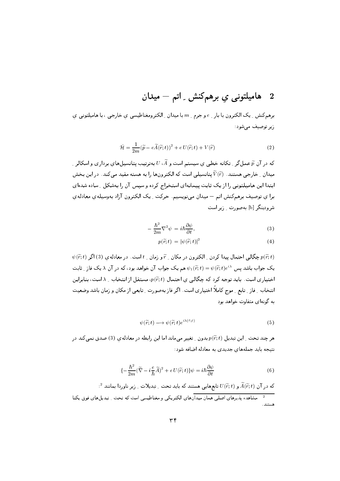# 2 ـ هاميلتونى ي برهمكنش ِ اتم – ميدان

برهمکنش ِ یک الکترون با بار ِ e و جرم ِ m با میدان ِ الکترومغناطیسی ی خارجی ، با هامیلتونی ی زیر توصیف مے شود:

$$
\hat{\mathcal{H}} = \frac{1}{2m} (\widetilde{p} - e\widetilde{A}(\widetilde{r}; t))^2 + e U(\widetilde{r}; t) + V(\widetilde{r})
$$
\n(2)

که در آن  $\widetilde{p}$  عمل گر <sub>-</sub> تکانه خطی ی سیستم است و  $\widetilde{A}$ ،  $U$  بهترتیب پتانسیلهای برداری و اسکالر <sub>-</sub> میدان ِ خارجی هستند.  $\widetilde{V}(\widetilde{r})$ یتانسیلی است که الکترونها را به هسته مقید میکند. در این بخش ابتدا این هامپلتونی را از یک ثابت پیمانهای استخراج کرده و سپس آن را بهشکل ِ ساده شدهای برا ي توصيف برهم كنش اتم – ميدان مىنويسيم. حركت \_ يك الكترون آزاد بهوسيلهى معادلهى شرودینگر [b] بهصورت - زیر است

$$
-\frac{\hbar^2}{2m}\nabla^2\psi = i\hbar\frac{\partial\psi}{\partial t},\tag{3}
$$

$$
p(\widetilde{r};t) = |\psi(\widetilde{r};t)|^2 \tag{4}
$$

 $\psi(\widetilde{r};t)$  جِگالی احتمال میدا کردن ِ الکترون در مکان ِ  $\widetilde{r}$ و زمان ِ  $t$ است. در معادله $p(\widetilde{r};t)$  اگر یک جواب باشد بس  $\widetilde{r};t) = \psi(\widetilde{r};t) = \psi_1(\widetilde{r};t) = \psi(\widetilde{r};t) = i\sqrt{2}$  هم یک جواب آن خواهد بود، که در آن  $\lambda$  یک فاز اختیاری است. باید توجه کرد که چگالی ی احتمال  $p(\widetilde{r};t)$ ، مستقل از انتخاب ِ  $\lambda$  است، بنابراین انتخاب ِ فاز ِ تابع ِ موج کاملاً اختیاری است. اگر فاز بهصورت ِ تابعی از مکان و زمان باشد وضعیت به گونهای متفاوت خواهد بود

$$
\psi(\widetilde{r};t) \longrightarrow \psi(\widetilde{r};t)e^{i\lambda(\widetilde{r};t)} \tag{5}
$$

هر چند تحت ِ این تبدیل  $p(\widetilde{r};t)$ بدون ِ تغییر می ماند اما این رابطه در معادله $(3)$  صدق نمی کند در نتیجه باید جملههای جدیدی به معادله اضافه شود:

$$
\{-\frac{\hbar^2}{2m}(\widetilde{\nabla} - i\frac{e}{\hbar}\widetilde{A})^2 + e U(\widetilde{r};t)\}\psi = i\hbar\frac{\partial\psi}{\partial t}
$$
(6)

 $\widetilde{A}^2$  که در آن  $\widetilde{A}(\widetilde{r};t)$  و  $U(\widetilde{r};t)$  تابع $d$ ایی هستند که باید تحت ِ تبدیلات ِ زیر ناوردا بمانند

<sup>.&</sup>lt;br>مشاهده يذيرهاي اصلي همان ميدانهاي الكتريكي و مغناطيسي است كه تحت ِ تبديلهاي فوق يكتا هستند.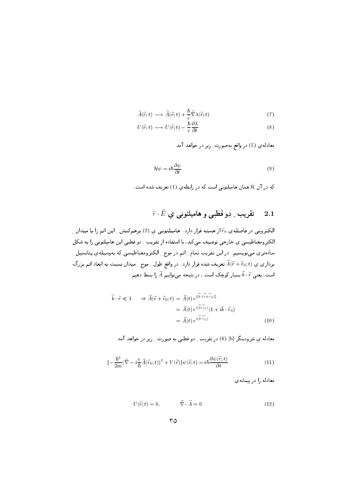$$
\widetilde{A}(\widetilde{r};t) \longrightarrow \widetilde{A}(\widetilde{r};t) + \frac{\hbar}{e} \widetilde{\nabla} \lambda(\widetilde{r};t)
$$
\n(7)

$$
U(\widetilde{r};t) \longrightarrow U(\widetilde{r};t) - \frac{\hbar}{e} \frac{\partial \lambda}{\partial t}
$$
\n(8)

معادله ی (5) در واقع بهصورت ِ زیر در خواهد آمد

$$
\hat{\mathcal{H}}\psi = i\hbar \frac{\partial \psi}{\partial t} \tag{9}
$$

که در آن  $\hat{\cal H}$  همان هامیلتونی است که در رابطه $(1)$  تعریف شده است.

#### $\widetilde{r}\cdot\widetilde{E}$  تقریب ِ دو قطبی و هامیلتونی ی  $2.1$

الکترونی در فاصلهی % از هسته قرار دارد. هامیلتونی ی (2) برهمکنش ِ این اتم را با میدان ِ الکترومغناطیسی ی خارجی توصیف میکند، با استفاده از تقریب ِ دو قطبی این هامیلتونی را به شکل سادهتری می،نویسیم. در این تقریب تمام ِ اتم در موج ِ الکترومغناطیسی که بهوسیلهی پتانسیل ِ برداری ی  $\widetilde{A}(\widetilde{r}+\widetilde{r}_0;t)$  تعریف شده قرار دارد. در واقع طول ِ موج ِ میدان نسبت به ابعاد اتم بزرگ است، یعنی  $\widetilde{\kappa}\cdot\widetilde{r}$  بسیار کوچک است ، در نتیجه می توانیم  $\widetilde{A}$  را بسط دهیم:

$$
\widetilde{k} \cdot \widetilde{r} \ll 1 \qquad \Rightarrow \widetilde{A}(\widetilde{r} + \widetilde{r}_0; t) = \widetilde{A}(t) e^{i[\widetilde{k} \cdot (\widetilde{r} + \widetilde{r}_0)]} \n= \widetilde{A}(t) e^{i(\widetilde{k} \cdot \widetilde{r}_0)} (1 + i \widetilde{k} \cdot \widetilde{r}_0) \n= \widetilde{A}(t) e^{i(\widetilde{k} \cdot \widetilde{r}_0)} \tag{10}
$$

معادله ی شرودینگر [b] (6) در تقریب -ِ دو قطبی به صورت -ِ زیر در خواهد آمد

$$
\{-\frac{\hbar^2}{2m}(\widetilde{\nabla} - i\frac{e}{\hbar}\widetilde{A}(\widetilde{r}_0;t))^2 + V(\widetilde{r})\}\psi(\widetilde{r};t) = i\hbar\frac{\partial\psi(\widetilde{r};t)}{\partial t}
$$
\n(11)

معادله را در پیمانه ی

$$
U(\widetilde{r};t) = 0, \qquad \widetilde{\nabla} \cdot \widetilde{A} = 0 \tag{12}
$$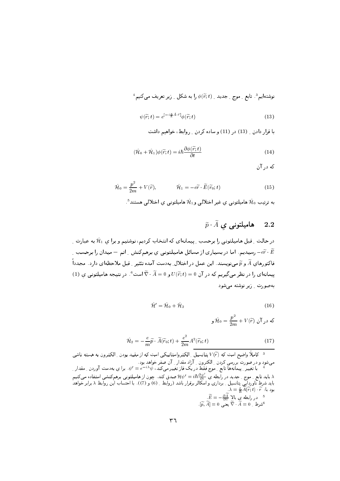$$
^4
$$
 نوشتمایہ  $^8$ ، تابع ۔ مو $^1$  جدید ۔ ( $\widetilde{r};t$ ) ہ را ہہ شکل ۔ زیر تعریف می کنیم

$$
\psi(\widetilde{r};t) = e^{[-i\frac{e}{\hbar}\widetilde{A}\cdot\widetilde{r}]} \phi(\widetilde{r};t)
$$
\n(13)

با قرار دادن \_ (13) در (11) و ساده كردن \_ روابط، خواهيم داشت

$$
(\hat{\mathcal{H}}_0 + \hat{\mathcal{H}}_1)\phi(\tilde{r}; t) = i\hbar \frac{\partial \phi(\tilde{r}; t)}{\partial t}
$$
\n(14)

که در آن

$$
\hat{\mathcal{H}}_0 = \frac{p^2}{2m} + V(\tilde{r}), \qquad \hat{\mathcal{H}}_1 = -e\tilde{r} \cdot \tilde{E}(\tilde{r}_0; t)
$$
\n(15)

به ترتیب  $\hat{\mathcal{H}}_0$  هامیلتونی ی غیر اختلالی و $\hat{\mathcal{H}}_1$  هامیلتونی ی اختلالی هستند $^5$ .

#### $\widetilde{p}\cdot\widetilde{A}$  هامیلتونی ی  $2.2$

در حالت ِ قبل هامیلتونی را برحسب ِ پیمانهای که انتخاب کردیم، نوشتیم و برا ی  $\hat{\mathcal{H}}_1$  به عبارت ِ وسیدیم. اما در بسیاری از مسائل هامیلتونی ی برهمکنش راتم $-$  میدان را برحسب  $-\widetilde{e\,r} \cdot \widetilde{E}$ فاکتورهای  $\widetilde{A}$  و  $\widetilde{q}$  می نویسند. این عمل در اختلال ِ بهدست آمده تئثیر ِ قبل ملاحظهای دارد. مجدداً (1) پیمانهای را در نظر می گیریم که در آن  $U(\widetilde{r};t)=U(\widetilde{r};t)$  و  $\widetilde{\lambda}=\widetilde{\nabla}\cdot\widetilde{A}$  است $^{\circ}$ . در نتیجه هامیلتونی ی ۔<br>د4صورت زیر نوشته مے شود

$$
\hat{\mathcal{H}}' = \hat{\mathcal{H}}_0 + \hat{\mathcal{H}}_2 \tag{16}
$$

که در آن 
$$
\hat{\mathcal{H}}_0 = \frac{p^2}{2m} + V(\widetilde{r})
$$
ر

$$
\hat{\mathcal{H}}_2 = -\frac{e}{m}\widetilde{p} \cdot \widetilde{A}(\widetilde{r}_0; t) + \frac{e^2}{2m} A^2(\widetilde{r}_0; t)
$$
\n(17)

کاملاً واضح است که  $V(\widetilde{r})$  پتانسیل ِ الکترواستاتیکی است که از مقید بودن ِ الکترون به هسته ناشی  $^3$ ۸ باید تابع <sub>-</sub> موج <sub>-</sub> جدید در رابطه یِ <sup>/٬</sup>۵<sub>0</sub> = <sup>٬</sup>h، صدق کند. چون از هامیلتونی برهمکنشی استفاده میکنیم<br>باید شرط ناورداییِ پتانسیل <sub>-</sub> برداری و اسکالر برقرار باشد (روابط <sub>-</sub> (6) و (7)). با احتساب این روابط ۸ برابر خو  $\lambda = \frac{e}{\hbar} \widetilde{A}(\widetilde{r};t) \cdot \widetilde{r}$ :بودبا  $\widetilde{E}=-\frac{\partial\widetilde{A}}{\partial t}$ در رابطه ی بالا  $^{-5}$  $\widetilde{[\widetilde{p},\widetilde{A}]}=0$  يُعْنَى $\widetilde{\nabla}\cdot \widetilde{\widetilde{A}}=0$ .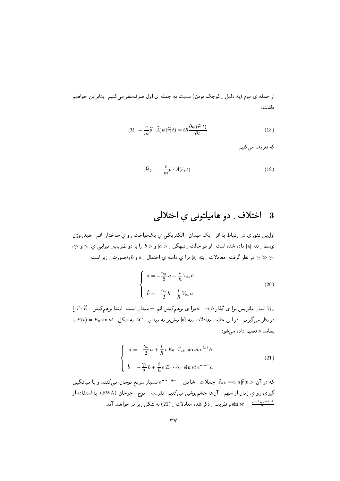از جمله ی دوم (به دلیل ِ کوچک بودن) نسبت به جمله ی اول صرف نظر می کنیم. بنابراین خواهیم داشت:

$$
(\hat{\mathcal{H}}_0 - \frac{e}{m}\widetilde{p}\cdot\widetilde{A})\psi(\widetilde{r};t) = i\hbar\frac{\partial\psi(\widetilde{r};t)}{\partial t}
$$
\n(18)

که تعریف مے کنیم

$$
\hat{\mathcal{H}}_2 = -\frac{e}{m}\tilde{p} \cdot \tilde{A}(\tilde{r};t) \tag{19}
$$

### اختلاف ِ دو هامیلتونی یِ اختلالی - 3

اولین تئوری در ارتباط با اثر ِ یک میدان ِ الکتریکی ی یکنواخت رو ی ساختار ِ اتم ِ هیدروژن توسط ِ بته [a] داده شده است. او دو حالت ِ تبهگن ِ ح a] و ح b] را با دو ضریب ِ میرایی ی  $\gamma_a$  و  $\gamma_b$ ، در نظر گرفت. معادلات ِ بته [a] برا ی دامنه ی احتمال ِ a و b بهصورت ِ زیر است  $\gamma_b \gg \gamma_a$ 

$$
\begin{cases}\n\dot{a} = -\frac{\gamma_a}{2} a - \frac{i}{\hbar} V_{ab} b \\
\dot{b} = -\frac{\gamma_b}{2} b - \frac{i}{\hbar} V_{ba} a\n\end{cases}
$$
\n(20)

المان ماتريس برا ي گذار  $b \to a \to b$  برا ي برهمكنش اتم — ميدان است. ابتدا برهمكنش \_  $\widetilde{r} \cdot \widetilde{E}$  را $V_{ba}$  $E(t)=E_0\sin\nu t$  در نظر میگیریم. در این حالت معادلات بته [a] بیش تر به میدان  $AC$  به شکل  $V$  به تا بسامد v تعمیم داده میشود.

$$
\begin{cases}\n\dot{a} = -\frac{\gamma_a}{2}a + \frac{i}{\hbar}e\widetilde{E}_0 \cdot \widetilde{r}_{ab}\sin \nu t e^{i\omega t}b \\
\dot{b} = -\frac{\gamma_b}{2}b + \frac{i}{\hbar}e\widetilde{E}_0 \cdot \widetilde{r}_{ba}\sin \nu t e^{-i\omega t}a\n\end{cases}
$$
\n(21)

که در آن $a|\widetilde{r}|$   $a>$  جملات ِ شامل ِ  $e^{-i(\omega+\nu)}$  بسیار سریع نوسان میکنند و با میانگین گیری رو ی زمان از سهم <sub>-</sub> آنها چشمپوشی میکنیم، تقریب <sub>-</sub> موج <sub>-</sub> چرخان (RWA)، با استفاده از ق نیر در خواهند آمد  $\nu t = \frac{e^{i\nu t} - e^{-i\nu t}}{2i}$  تقریب ِ ذکر شده معادلات ِ  $\sin \nu t = \frac{e^{i\nu t} - e^{-i\nu t}}{2i}$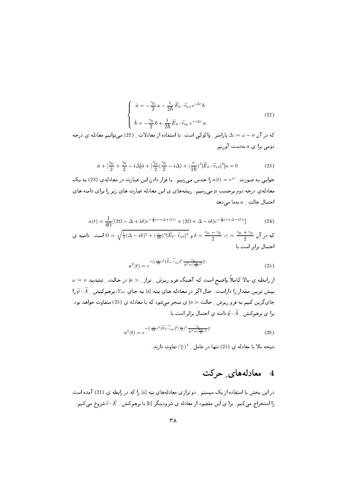$$
\begin{cases}\n\dot{a} = -\frac{\gamma_a}{2} a - \frac{e}{2\hbar} \widetilde{E}_0 \cdot \widetilde{r}_{ab} e^{i\Delta t} b \\
\dot{b} = -\frac{\gamma_b}{2} b + \frac{i}{2\hbar} \widetilde{E}_0 \cdot \widetilde{r}_{ba} e^{-i\Delta t} a\n\end{cases}
$$
\n(22)

که در آن  $\nu-\nu= \Delta$  یارامتر ِ واکوکی است. با استفاده از معادلات ِ (22) میتوانیم معادله ی درجه دومی برا ی  $a$  به دست آوریم

$$
\ddot{a} + \left[\frac{\gamma_a}{2} + \frac{\gamma_b}{2} - i\Delta\right]\dot{a} + \left[\frac{\gamma_a}{2}\left(\frac{\gamma_b}{2} - i\Delta\right) + \left(\frac{e}{2\hbar}\right)^2\right]\widetilde{E}_0 \cdot \widetilde{r}_{ab}\vert^2\vert a = 0
$$
\n(23)

جوابی به صورت ِ  $e^{\mu t}$  را حدس می زنیم. با قرار دادن این عبارت در معادلهی (23) به یک معادلهی درجه دوم برحسب µ میرسیم. ریشههای ی این معادله عبارت های زیر را برای دامنه های احتمال حالت  $a_a$ بهما می دهد

$$
a(t) = \frac{1}{4\Omega} \left[ (2\Omega - \Delta + i\delta)e^{-\frac{1}{2}(\gamma - \Delta + i\delta)t} + (2\Omega + \Delta - i\delta)e^{-\frac{1}{2}(\gamma + \Delta - i\delta)t} \right]
$$
(24)

که در آن  $\gamma=\frac{\gamma_a+\gamma_b}{2}$  ب $\delta=\frac{\gamma_a-\gamma_b}{2}$  و  $\widetilde{E}_0\cdot\widetilde{r}_{ab}|^2\frac{\widetilde{E}_0\cdot\widetilde{r}_{ab}}{2}$  به  $\delta=\frac{\gamma_a-\gamma_b}{2}$  به  $\gamma=\frac{\gamma_a+\gamma_b}{2}$  است. دامنه ي احتمال برابر است با

$$
a^2(t) = e^{-\left[(\frac{\epsilon}{2\hbar})^2|\widetilde{E}_0 \cdot \widetilde{r}_{ab}|^2 \frac{\gamma_b}{\Delta^2 + (\frac{\gamma_b}{2})^2}\right]t}
$$
(25)

 $\omega=\nu$  از رابطه ی بالا کاملاً واضح است که آهنگ فرو ریزش ِ تراز ِ < ۵| در حالت ِ تشدید  $\nu$ بیش ترین مقدار را داراست. حال اگر در معادله های بته [a] به جای  $V_{ab}$ ، برهمکنش ِ $\widetilde{A}$  را جایگزین کنیم به فرو ریزش ِ حالت < a| ی منجر میشود که با معادله ی (25) متفاوت خواهد بود . برا ی برهمکنش ب $\widetilde{p}\cdot\widetilde{A}$  دامنه ی احتمال برابر است با

$$
a^2(t) = e^{-\left[(\frac{e}{2\hbar})^2 \left|\widetilde{E}_0 \cdot \widetilde{r}_{ab}\right|^2 \left(\frac{\omega}{\nu}\right)^2} \frac{\gamma_b}{\Delta^2 + (\frac{\gamma_b}{2})^2} \Big]t} \tag{26}
$$

نتيجه بالا با معادله ي (25) تنها در عامل \_ 2(٣) تفاوت دارند.

#### معادلههای ِ حرکت  $\overline{4}$

در این بخش با استفاده از یک سیستم ِ دو ترازی معادلههای بته [a] را که در رابطه ی (21) آمده است را استخراج میکنیم. برا یِ این مقصود از معادله یِ شرودینگر [b] با برهمکنش ِ  $\widetilde{r}\cdot\widetilde{E}$  شروع میکنیم: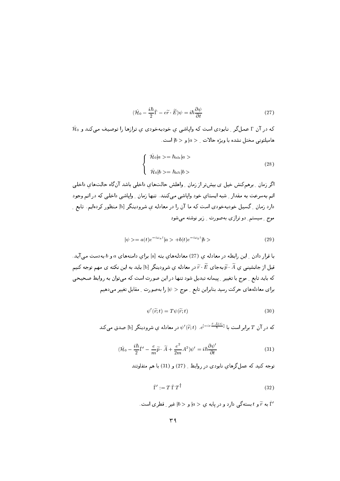$$
(\hat{\mathcal{H}}_0 - \frac{i\hbar}{2}\hat{\Gamma} - e\tilde{r}\cdot\tilde{E})\psi = i\hbar\frac{\partial\psi}{\partial t}
$$
\n(27)

 $\hat{\mathcal{H}}_0$  که در آن T عمل گر ۱ نابودی است که وایاشی ی خودبهخودی ی ترازها را توصیف میکند و هامیلتونی مختل نشده با ویژه حالات  $a > |a|$ و حالات.

$$
\begin{cases}\n\hat{\mathcal{H}}_0|a\rangle = \hbar\omega_a|a\rangle \\
\hat{\mathcal{H}}_0|b\rangle = \hbar\omega_b|b\rangle\n\end{cases}
$$
\n(28)

اگر زمان ِ برهمکنش خیل ی بیشتر از زمان ِ واهلش حالتهای داخلی باشد آن گاه حالتهای داخلی اتم بهسرعت به مقدار ِ شبه ایستای خود وایاشی میکنند. تنها زمان ِ وایاشی داخلی که در اتم وجود دارد زمان <sub>ب</sub> گسیل خودبهخودی است که ما آن را در معادله ی شرودینگر [b] منظور کردهایم. تابع <sub>ب</sub> موج \_ سیستم\_ دو ترازی بهصورت \_ زیر نوشته می شود

$$
|\psi\rangle = a(t)e^{-i\omega_a t}|a\rangle + b(t)e^{-i\omega_b t}|b\rangle \tag{29}
$$

با قرار دادن <sub>-</sub> این رابطه در معادله ی (27) معادلههای بته [a] برای دامنههای a و b بهدست می آید. قبل از جانشینی ی  $\widetilde{P}\cdot\widetilde{A}$  بهجای  $\widetilde{r}\cdot\widetilde{E}$  در معادله ی شرودینگر [b] باید به این نکته ی مهم توجه کنیم که باید تابع ِ موج با تغییرِ ِ پیمانه تبدیل شود تنها در این صورت است که میتوان به روابط صحیحی برای معادلههای حرکت رسید بنابراین تابع \_ موج < 10 را بهصورت \_ مقابل تغییر میدهیم

$$
\psi'(\widetilde{r};t) = T\psi(\widetilde{r};t) \tag{30}
$$

که در آن  $T$  برابر است با  $e^{[-ie\frac{\tilde{r}.\tilde{A}(t)}{\hbar}]}\cdot e^{[-ie\frac{\tilde{r}.\tilde{A}(t)}{\hbar}]}$  در معادله ي شرودينگر [b] صدق مى كند

$$
(\hat{\mathcal{H}}_0 - \frac{i\hbar}{2}\hat{\Gamma}' - \frac{e}{m}\widetilde{p}\cdot\widetilde{A} + \frac{e^2}{2m}A^2)\psi' = i\hbar\frac{\partial\psi'}{\partial t}
$$
(31)

توجه کنید که عمل گرهای نابودی در روابط ِ (27) و (31) با هم متفاوتند

$$
\hat{\Gamma}' := T \hat{\Gamma} T^{\dagger} \tag{32}
$$

به  $\widetilde{r}$  و  $t$ بستهگی دارد و در پایه ی $a > |a|$ و ح $b >$ ا غیر ِ قطری است.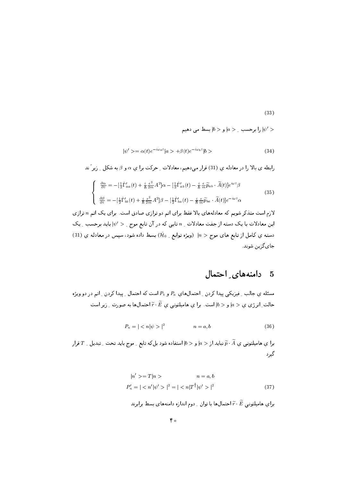$$
f_{\rm{max}}
$$

را برحسب  $|a>|a>|\omega$  بسط می دهیم  $| \psi'>$ 

 $(33)$ 

$$
|\psi' \rangle = \alpha(t)e^{-i\omega_a t}|a \rangle + \beta(t)e^{-i\omega_b t}|b \rangle
$$
\n(34)

رابطه ی بالا را در معادله ی (31) قرار میدهیم، معادلات ِ حرکت برا ی a و 8 به شکل ِ زیر َ ند

$$
\begin{cases}\n\frac{\partial \alpha}{\partial t} = -\left[\frac{1}{2}\hat{\Gamma}_{aa}'(t) + \frac{i}{\hbar} \frac{e^2}{2m} A^2\right] \alpha - \left[\frac{1}{2}\hat{\Gamma}_{ab}'(t) - \frac{i}{\hbar} \frac{e}{m} \widetilde{p}_{ab} \cdot \widetilde{A}(t)\right] e^{i\omega t} \beta \\
\frac{\partial \beta}{\partial t} = -\left[\frac{1}{2}\hat{\Gamma}_{bb}'(t) + \frac{i}{\hbar} \frac{e^2}{2m} A^2\right] \beta - \left[\frac{1}{2}\hat{\Gamma}_{ba}'(t) - \frac{i}{\hbar} \frac{e}{m} \widetilde{p}_{ba} \cdot \widetilde{A}(t)\right] e^{-i\omega t} \alpha\n\end{cases} (35)
$$

لازم است متذکر شویم که معادلههای بالا فقط برای اتم دو ترازی صادق است. برای یک اتم n ترازی این معادلات با یک دسته از جفت معادلات ِ n تایی که در آن تابع موج ِ  $\psi'>$ ا باید برحسب ِ یک دسته ی کامل از تابع های موج $n > |n > 0$  (ویژه توابع ِ  $\hat{\mathcal{H}}_0$  بسط داده شود، سپس در معادله ی (31) جاي گزين شوند.

#### دامنههای احتمال - 5

مسئله ی جالب ِ فیزیکی پیدا کردن ِ احتمالهای  $P_a$  و  $P_b$  است که احتمال ِ پیدا کردن ِ اتم در دو ویژه حالت ِ انرژی ی $a > |a > 0|$  و ح $|b >$  است. برا ی هامیلتونی ی  $\widetilde{E} \cdot \widetilde{E}$  احتمال $d$  به صورت ِ زیر است

$$
P_n = ||^2 \qquad \qquad n=a, b \tag{36}
$$

برا ی هامیلتونی ی  $\widetilde{p}\cdot\widetilde{A}$  نباید از $a > |a > |a|$  استفاده شود بل $b$ ه تابع ِ موج باید تحت ِ تبدیل ِ  $T$ قرار گیرد

$$
|n' \rangle = T |n \rangle \qquad n = a, b
$$
  

$$
P'_n = | \langle n' | \psi' \rangle |^2 = | \langle n | T^{\dagger} | \psi' \rangle |^2
$$
 (37)

برای هامیلتونی  $\widetilde{r}\cdot\widetilde{E}$  احتمالها با توان ِ دوم اندازه دامنههای بسط برابرند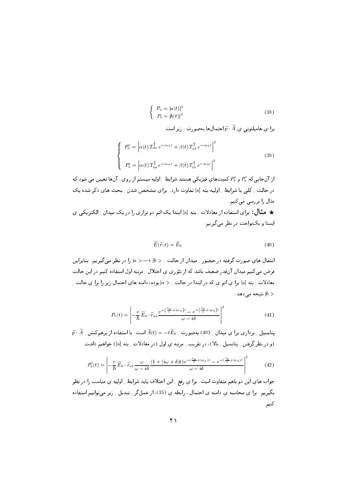$$
\begin{cases}\nP_a = |a(t)|^2 \\
P_b = |b(t)|^2\n\end{cases}
$$
\n(38)

را ی هامیلتونی ی  $\widetilde{p} \cdot \widetilde{A}$  احتمال ها به صورت بن است

$$
\begin{cases}\nP_a' = \left| \alpha(t) \, T_{aa}^\dagger \, e^{-i\omega_a t} + \beta(t) \, T_{ab}^\dagger \, e^{-i\omega_b t} \right|^2 \\
P_b' = \left| \alpha(t) \, T_{ba}^\dagger \, e^{-i\omega_a t} + \beta(t) \, T_{bb}^\dagger \, e^{-i\omega_b t} \right|^2\n\end{cases} \tag{39}
$$

از آنجایی که  $P_a'$  و  $P_b'$  کمیتهای فیزیکی هستند شرایط ِ اولیه سیستم از روی ِ آنها تعیین می شود که در حالت \_ کلی با شرایط \_ اولیه بته [a] تفاوت دارد. برای مشخص شدن \_ بحث های ذکر شده یک مثال را بررسی میکنیم ★ مثال: برای استفاده از معادلات ِ بته [a] ابتدا یک اتم دو ترازی را در یک میدان ِ الکتریکی ی

ایستا و یک نواخت در نظر می گیریم:

$$
\widetilde{E}(\widetilde{r};t) = \widetilde{E}_0 \tag{40}
$$

انتقال های صورت گرفته در حضور \_ میدان از حالت \_ < b/ → −< | را در نظر می گیریم. بنابراین فرض میکنیم میدان آنقدر ضعیف باشد که از تئوری ی اختلال ِ مرتبه اول استفاده کنیم در این حالت معادلات ِ بته [a] برا ی اتم ی که در ابتدا در حالت ِ < a] بوده، دامنه های احتمال زیر را برا ی حالت ِ : نتیجه می $|b>$ 

$$
P_b(t) = \left| -\frac{e}{\hbar} \widetilde{E}_0 \cdot \widetilde{r}_{ab} \frac{e^{-\left(\frac{\gamma_a}{2} + i\omega_a\right)t} - e^{-\left(\frac{\gamma_b}{2} + i\omega_b\right)t}}{\omega - i\delta} \right|^2 \tag{41}
$$

 $\widetilde{p}\cdot\widetilde{A}$  - یتانسیل ۔ برداری برا ی میدان ۔ (40) بهصورت ۔  $\widetilde{B}_0=-t\widetilde{E}_0$  است. با استفاده از برهمکنش ۔ (و در نظر گرفتن \_ پتانسیل \_ بالا)، در تقریب \_ مرتبه ی اول (در معادلات \_ بته [a]) خواهیم داشت

$$
P'_b(t) = \left| -\frac{e}{\hbar} \widetilde{E}_0 \cdot \widetilde{r}_{ab} \frac{\omega}{\omega - i\delta} \frac{(1 + (i\omega + \delta)t)e^{-(\frac{\gamma_a}{2} + i\omega_a)t} - e^{-(\frac{\gamma_b}{2} + i\omega_b)t}}{\omega - i\delta} \right|^2 \tag{42}
$$

جواب های این دو باهم متفاوت است. برا ی رفع ِ این اختلاف باید شرایط ِ اولیه ی مناسب را در نظر بگیریم. برا ی محاسبه ی دامنه ی احتمال ، رابطه ی (35)، از عملگر ِ تبدیل ِ زیر میتوانیم استفاده كنيم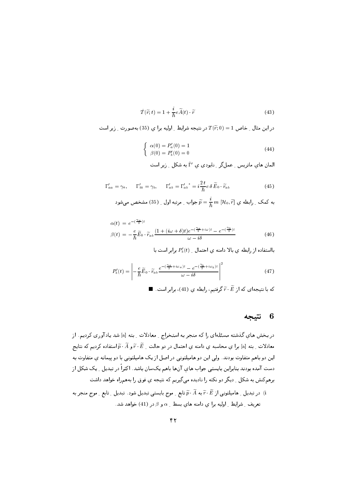$$
\hat{T}(\tilde{r};t) = 1 + \frac{i}{\hbar}e\tilde{A}(t)\cdot\tilde{r}
$$
\n(43)

در این مثال \_ خاص 1 $T(\widetilde{r};0)=T(\widetilde{r};0)=1$  در نتیجه شرایط \_ اولیه برا ی (35) بهصورت \_ زیر است

$$
\begin{cases}\n\alpha(0) = P'_a(0) = 1 \\
\beta(0) = P'_b(0) = 0\n\end{cases}
$$
\n(44)

$$
\Gamma'_{aa} = \gamma_a, \qquad \Gamma'_{bb} = \gamma_b, \qquad \Gamma'_{ab} = \Gamma'_{ab}^{\dagger} = i\frac{2t}{\hbar}e\,\delta\,\widetilde{E}_0\cdot\widetilde{r}_{ab} \tag{45}
$$

$$
\widetilde{p} = \frac{i}{\hbar} \, m \, [\mathcal{H}_0, \widetilde{r}] \quad \text{and} \quad \mathbf{a} = \mathbf{a} \in \widetilde{p},
$$

$$
\alpha(t) = e^{-\left(\frac{\gamma_a}{2}\right)t}
$$
\n
$$
\beta(t) = -\frac{e}{\hbar}\widetilde{E}_0 \cdot \widetilde{r}_{ab} \frac{\left(1 + (i\omega + \delta)t\right)e^{-\left(\frac{\gamma_a}{2} + i\omega\right)t} - e^{-\left(\frac{\gamma_b}{2}\right)t}}{\omega - i\delta}
$$
\n(46)

بااستفاده از رابطه ی بالا دامنه ی احتمال \_ ( $P'_b(t)$  برابر است با

$$
P_b'(t) = \left| -\frac{e}{\hbar} \widetilde{E}_0 \cdot \widetilde{r}_{ab} \frac{e^{-(\frac{\gamma_a}{2} + i\omega_a)t} - e^{-(\frac{\gamma_b}{2} + i\omega_b)t}}{\omega - i\delta} \right|^2 \tag{47}
$$

که با نتیجهای که از  $\widetilde{r} \cdot \widetilde{E}$  گرفتیم، رابطه یِ (41)، برابر است. ■

## 6 نتيجه

در بخش های گذشته مسئلهای را که منجر به استخراج <sub>-</sub> معادلات <sub>-</sub> بته [a] شد یادآوری کردیم. از معادلات ِ بته [a] برا يِ محاسبه يِ دامنه يِ احتمال در دو حالت ِ  $\widetilde{r}\cdot\widetilde{E}$  و آ $\widetilde{r}\cdot\widetilde{p}$  استفاده كرديم كه نتايج این دو باهم متفاوت بودند. ولی این دو هامیلتونی در اصل از یک هامیلتونی با دو پیمانه ی متفاوت به دست آمده بودند بنابراین بایستی جواب های آنها باهم یکسان باشد. اکثراً در تبدیل ِ یک شکل از برهمكنش به شكل <sub>-</sub> ديگر دو نكته را ناديده ميگيريم كه نتيجه ي فوق را بههمراه خواهد داشت در تبدیل ۱ِ هامیلتونی از  $\widetilde{r}\cdot\widetilde{R}$  به  $\widetilde{p}\cdot\widetilde{A}$  تابع ۱ِ موج بایستی تبدیل شود . تبدیل ۱ِ تابع ۱ موج منجر به  $(i$ تعریف ِ شرایط ِ اولیه برا ی دامنه های بسط ِ  $\alpha$  و  $\beta$  در (41) خواهد شد.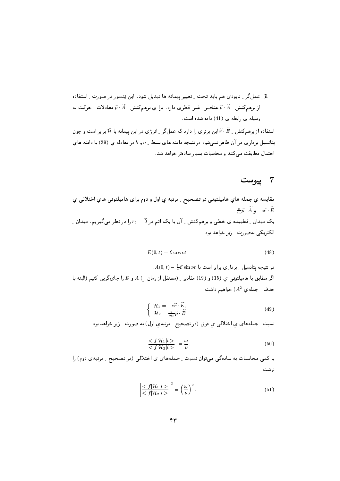استفاده از برهم کنش به شکتر برتری را دارد که عمل گر بانرژی در این پیمانه با  $\hat{\mathcal{H}}$  برابر است و چون ا یتانسیل برداری در آن ظاهر نمی شود در نتیجه دامنه های بسط ِ a و b در معادله ی (29) با دامنه های احتمال مطابقت می کنند و محاسبات بسیار سادهتر خواهد شد.

## 7 ييوست

مقايسه ي جمله هاي هاميلتونبي در تصحيح ِ مرتبه ي اول و دوم براي هاميلتونبي هاي اختلالبي ي  $\frac{e}{m}\widetilde{p}\cdot \widetilde{A}$ ,  $-e\widetilde{r}\cdot \widetilde{E}$ یک میدان ِ قطبیده یِ خطی و برهمکنش ِ آن با یک اتم در Ñ = Õ را در نظر میگیریم. میدان ِ الکتریکی بهصورت وزیر خواهد بود

$$
E(0,t) = \mathcal{E} \cos \nu t. \tag{48}
$$

 $A(0,t) - \frac{1}{\nu} \mathcal{E} \sin \nu t$  در نتیجه پتانسیل ۱ برداری برابر است با  $\ell$ اگر مطابق با هامیلتونبی ی (15) و (19) مقادیر ِ (مستقل از زمان  $A\ (\,E\, )$  و  $E\,$  را جای گزین کنیم (البته با حذف جملهی  $(A^2)$ خواهیم داشت:

$$
\begin{cases}\n\mathcal{H}_1 = -e\widetilde{r} \cdot \widetilde{E}, \\
\mathcal{H}_2 = \frac{e}{m\nu}\widetilde{p} \cdot \widetilde{E}\n\end{cases}
$$
\n(49)

نسبت ِ جملههای ی اختلالی ی فوق (در تصحیح ِ مرتبهی اول) به صورت ِ زیر خواهد بود

$$
\left| \frac{< f|\mathcal{H}_1|i>}{< f|\mathcal{H}_2|i>} \right| = \frac{\omega}{\nu}.\tag{50}
$$

با کمی محاسبات به سادهگی میتوان نسبت - جملههای یِ اختلالی (در تصحیح - مرتبهیِ دوم) را نوشت

$$
\left| \frac{< f|\mathcal{H}_1|i>}{< f|\mathcal{H}_2|i>} \right|^2 = \left(\frac{\omega}{\nu}\right)^2. \tag{51}
$$